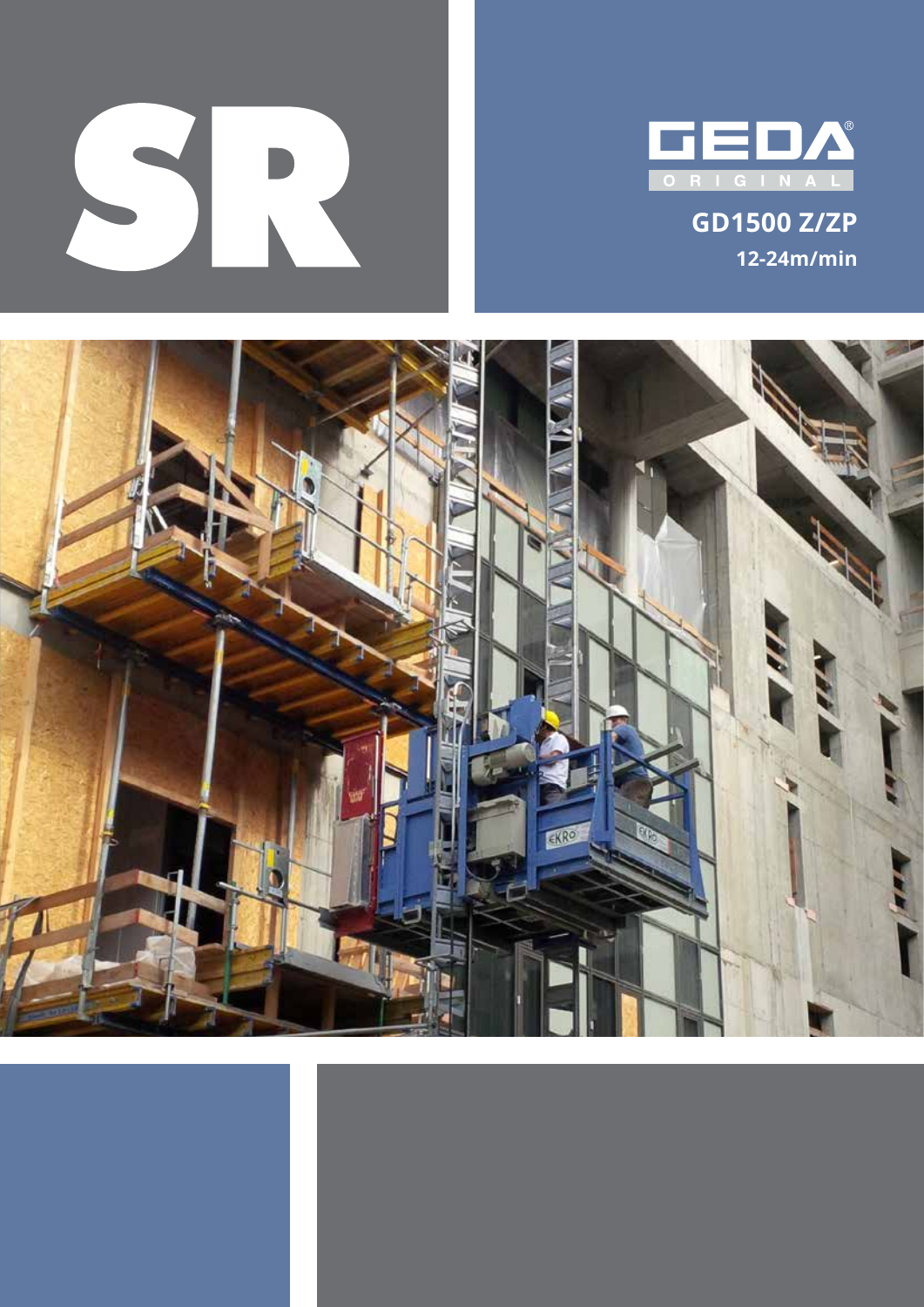



**GD1500 Z/ZP 12-24m/min**

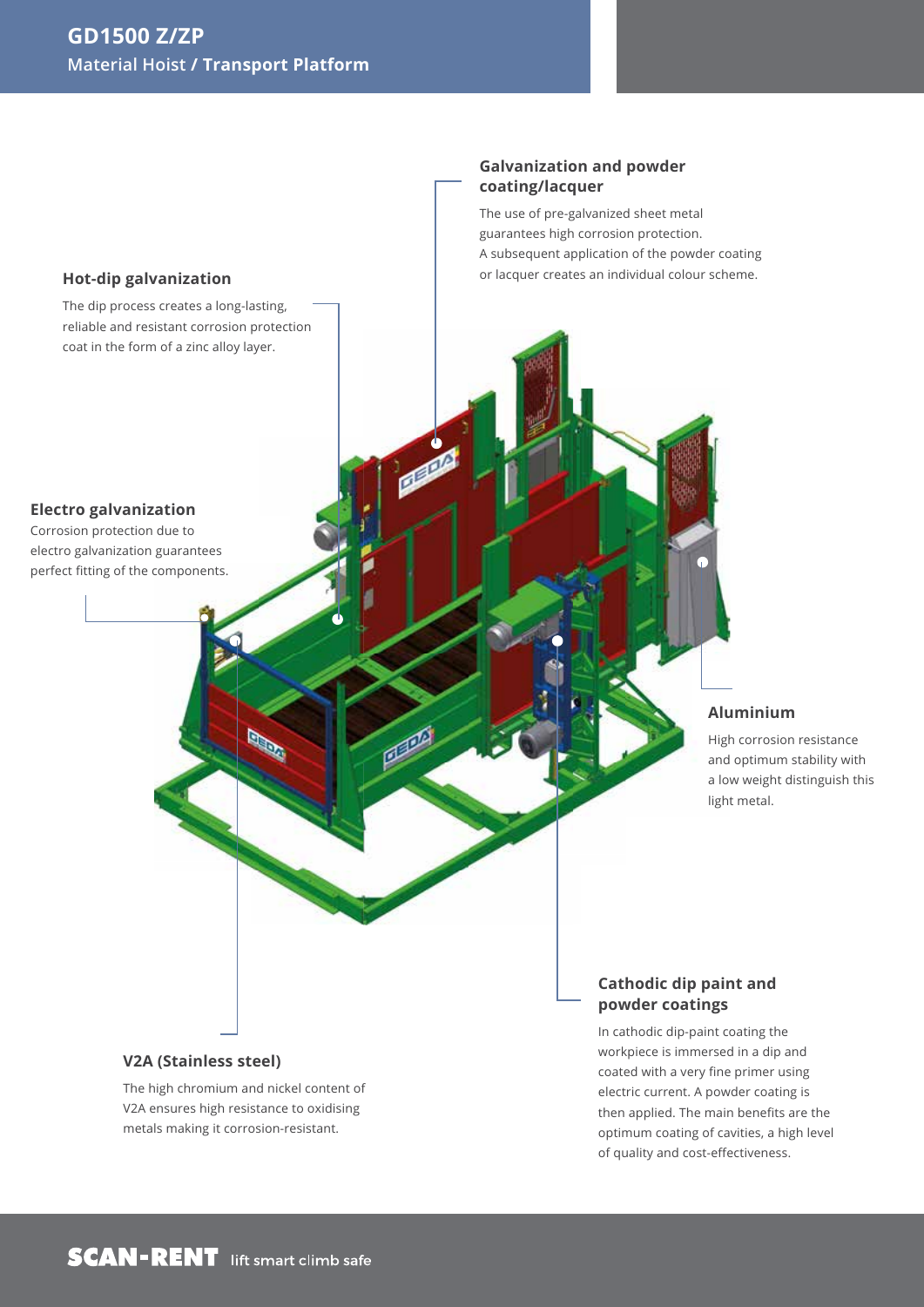

**Galvanization and powder** 

The use of pre-galvanized sheet metal guarantees high corrosion protection.

**coating/lacquer**

### **V2A (Stainless steel)**

The high chromium and nickel content of V2A ensures high resistance to oxidising metals making it corrosion-resistant.

In cathodic dip-paint coating the workpiece is immersed in a dip and coated with a very fine primer using electric current. A powder coating is then applied. The main benefits are the optimum coating of cavities, a high level of quality and cost-effectiveness.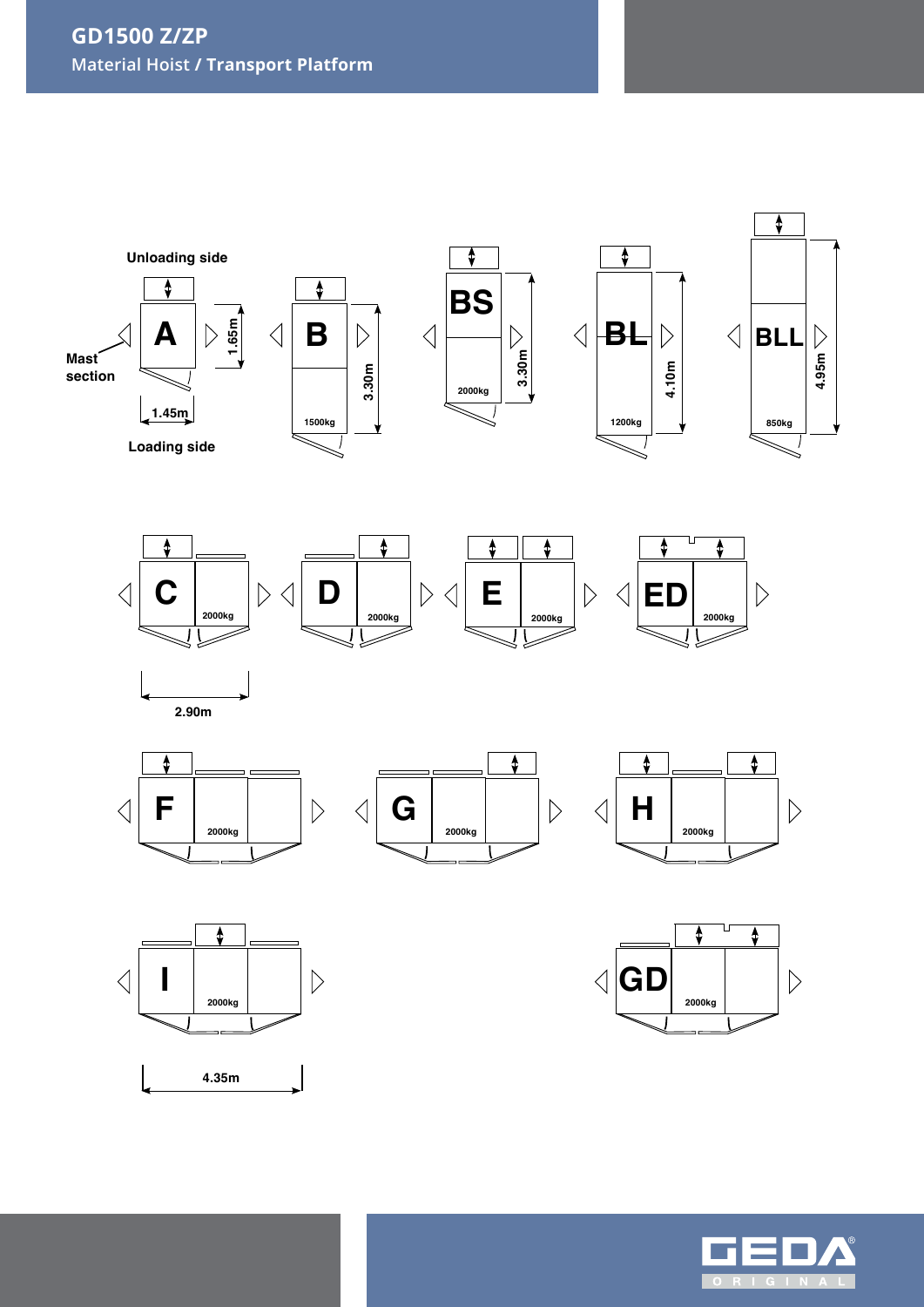